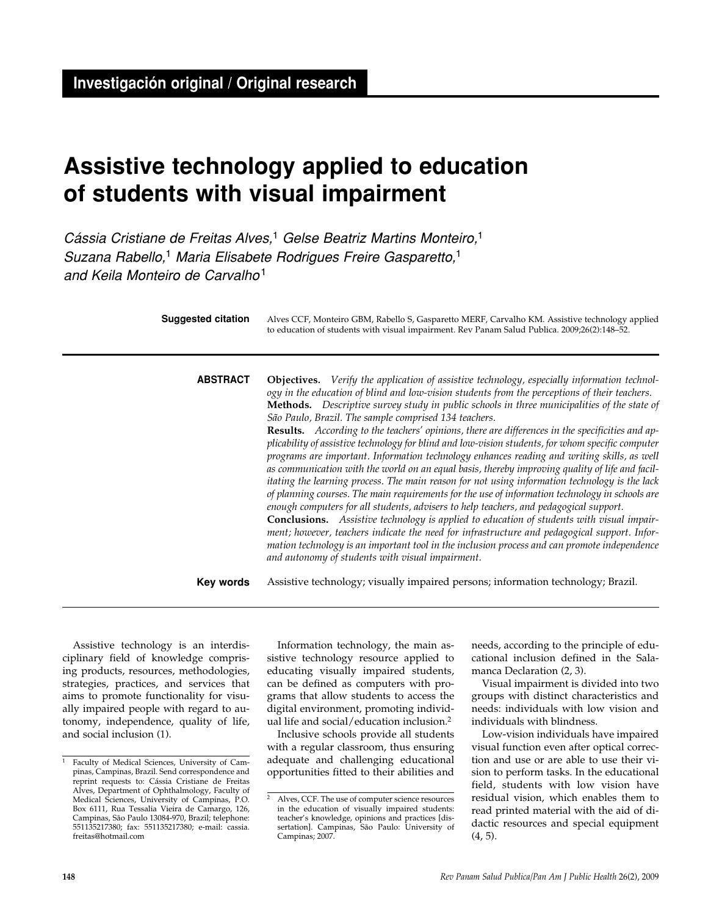# **Assistive technology applied to education of students with visual impairment**

Cássia Cristiane de Freitas Alves,<sup>1</sup> Gelse Beatriz Martins Monteiro,<sup>1</sup> Suzana Rabello,<sup>1</sup> Maria Elisabete Rodrigues Freire Gasparetto,<sup>1</sup> and Keila Monteiro de Carvalho<sup>1</sup>

| Suggested citation | Alves CCF, Monteiro GBM, Rabello S, Gasparetto MERF, Carvalho KM. Assistive technology applied<br>to education of students with visual impairment. Rev Panam Salud Publica. 2009;26(2):148-52.                                                                                                                                                                                                                                                                                                                                                                                                                                                                                                                                                                                                                                                                                                                                                                                                                                                                                                                                                                                                                                                                                                                                                                                                                         |
|--------------------|------------------------------------------------------------------------------------------------------------------------------------------------------------------------------------------------------------------------------------------------------------------------------------------------------------------------------------------------------------------------------------------------------------------------------------------------------------------------------------------------------------------------------------------------------------------------------------------------------------------------------------------------------------------------------------------------------------------------------------------------------------------------------------------------------------------------------------------------------------------------------------------------------------------------------------------------------------------------------------------------------------------------------------------------------------------------------------------------------------------------------------------------------------------------------------------------------------------------------------------------------------------------------------------------------------------------------------------------------------------------------------------------------------------------|
| <b>ABSTRACT</b>    | <b>Objectives.</b> Verify the application of assistive technology, especially information technol-<br>ogy in the education of blind and low-vision students from the perceptions of their teachers.<br>Methods. Descriptive survey study in public schools in three municipalities of the state of<br>São Paulo, Brazil. The sample comprised 134 teachers.<br>Results. According to the teachers' opinions, there are differences in the specificities and ap-<br>plicability of assistive technology for blind and low-vision students, for whom specific computer<br>programs are important. Information technology enhances reading and writing skills, as well<br>as communication with the world on an equal basis, thereby improving quality of life and facil-<br>itating the learning process. The main reason for not using information technology is the lack<br>of planning courses. The main requirements for the use of information technology in schools are<br>enough computers for all students, advisers to help teachers, and pedagogical support.<br>Conclusions. Assistive technology is applied to education of students with visual impair-<br>ment; however, teachers indicate the need for infrastructure and pedagogical support. Infor-<br>mation technology is an important tool in the inclusion process and can promote independence<br>and autonomy of students with visual impairment. |
| Key words          | Assistive technology; visually impaired persons; information technology; Brazil.                                                                                                                                                                                                                                                                                                                                                                                                                                                                                                                                                                                                                                                                                                                                                                                                                                                                                                                                                                                                                                                                                                                                                                                                                                                                                                                                       |

Assistive technology is an interdisciplinary field of knowledge comprising products, resources, methodologies, strategies, practices, and services that aims to promote functionality for visually impaired people with regard to autonomy, independence, quality of life, and social inclusion (1).

Information technology, the main assistive technology resource applied to educating visually impaired students, can be defined as computers with programs that allow students to access the digital environment, promoting individual life and social/education inclusion.<sup>2</sup>

Inclusive schools provide all students with a regular classroom, thus ensuring adequate and challenging educational opportunities fitted to their abilities and needs, according to the principle of educational inclusion defined in the Salamanca Declaration (2, 3).

Visual impairment is divided into two groups with distinct characteristics and needs: individuals with low vision and individuals with blindness.

Low-vision individuals have impaired visual function even after optical correction and use or are able to use their vision to perform tasks. In the educational field, students with low vision have residual vision, which enables them to read printed material with the aid of didactic resources and special equipment (4, 5).

<sup>1</sup> Faculty of Medical Sciences, University of Campinas, Campinas, Brazil. Send correspondence and reprint requests to: Cássia Cristiane de Freitas Alves, Department of Ophthalmology, Faculty of Medical Sciences, University of Campinas, P.O. Box 6111, Rua Tessalia Vieira de Camargo, 126, Campinas, São Paulo 13084-970, Brazil; telephone: 551135217380; fax: 551135217380; e-mail: cassia. freitas@hotmail.com

<sup>2</sup> Alves, CCF. The use of computer science resources in the education of visually impaired students: teacher's knowledge, opinions and practices [dissertation]. Campinas, São Paulo: University of Campinas; 2007.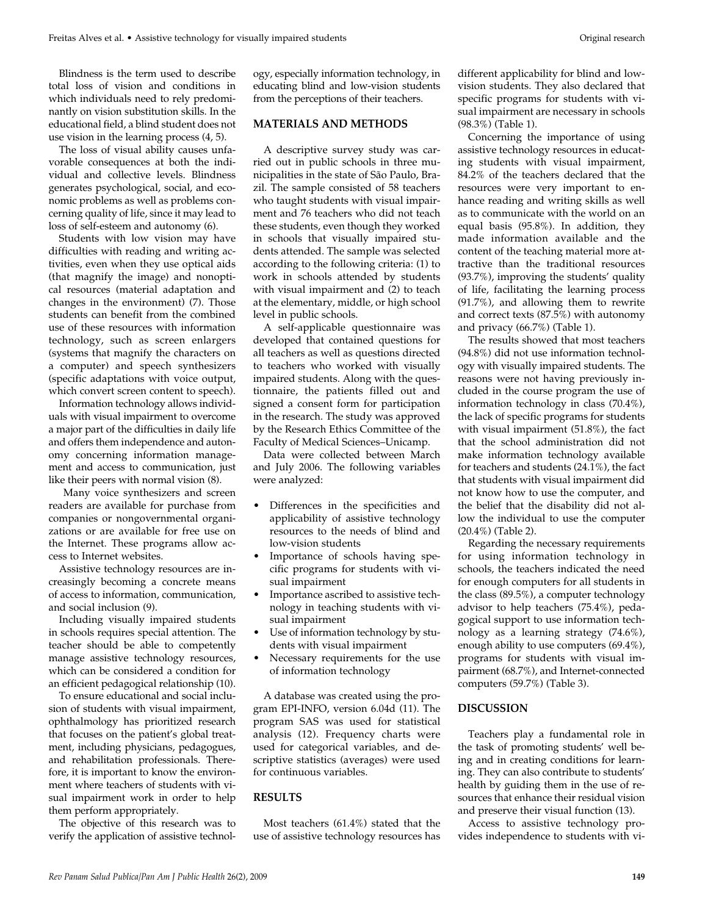Blindness is the term used to describe total loss of vision and conditions in which individuals need to rely predominantly on vision substitution skills. In the educational field, a blind student does not use vision in the learning process (4, 5).

The loss of visual ability causes unfavorable consequences at both the individual and collective levels. Blindness generates psychological, social, and economic problems as well as problems concerning quality of life, since it may lead to loss of self-esteem and autonomy (6).

Students with low vision may have difficulties with reading and writing activities, even when they use optical aids (that magnify the image) and nonoptical resources (material adaptation and changes in the environment) (7). Those students can benefit from the combined use of these resources with information technology, such as screen enlargers (systems that magnify the characters on a computer) and speech synthesizers (specific adaptations with voice output, which convert screen content to speech).

Information technology allows individuals with visual impairment to overcome a major part of the difficulties in daily life and offers them independence and autonomy concerning information management and access to communication, just like their peers with normal vision (8).

Many voice synthesizers and screen readers are available for purchase from companies or nongovernmental organizations or are available for free use on the Internet. These programs allow access to Internet websites.

Assistive technology resources are increasingly becoming a concrete means of access to information, communication, and social inclusion (9).

Including visually impaired students in schools requires special attention. The teacher should be able to competently manage assistive technology resources, which can be considered a condition for an efficient pedagogical relationship (10).

To ensure educational and social inclusion of students with visual impairment, ophthalmology has prioritized research that focuses on the patient's global treatment, including physicians, pedagogues, and rehabilitation professionals. Therefore, it is important to know the environment where teachers of students with visual impairment work in order to help them perform appropriately.

The objective of this research was to verify the application of assistive technology, especially information technology, in educating blind and low-vision students from the perceptions of their teachers.

### **MATERIALS AND METHODS**

A descriptive survey study was carried out in public schools in three municipalities in the state of São Paulo, Brazil. The sample consisted of 58 teachers who taught students with visual impairment and 76 teachers who did not teach these students, even though they worked in schools that visually impaired students attended. The sample was selected according to the following criteria: (1) to work in schools attended by students with visual impairment and (2) to teach at the elementary, middle, or high school level in public schools.

A self-applicable questionnaire was developed that contained questions for all teachers as well as questions directed to teachers who worked with visually impaired students. Along with the questionnaire, the patients filled out and signed a consent form for participation in the research. The study was approved by the Research Ethics Committee of the Faculty of Medical Sciences–Unicamp.

Data were collected between March and July 2006. The following variables were analyzed:

- Differences in the specificities and applicability of assistive technology resources to the needs of blind and low-vision students
- Importance of schools having specific programs for students with visual impairment
- Importance ascribed to assistive technology in teaching students with visual impairment
- Use of information technology by students with visual impairment
- Necessary requirements for the use of information technology

A database was created using the program EPI-INFO, version 6.04d (11). The program SAS was used for statistical analysis (12). Frequency charts were used for categorical variables, and descriptive statistics (averages) were used for continuous variables.

## **RESULTS**

Most teachers (61.4%) stated that the use of assistive technology resources has different applicability for blind and lowvision students. They also declared that specific programs for students with visual impairment are necessary in schools (98.3%) (Table 1).

Concerning the importance of using assistive technology resources in educating students with visual impairment, 84.2% of the teachers declared that the resources were very important to enhance reading and writing skills as well as to communicate with the world on an equal basis (95.8%). In addition, they made information available and the content of the teaching material more attractive than the traditional resources (93.7%), improving the students' quality of life, facilitating the learning process (91.7%), and allowing them to rewrite and correct texts (87.5%) with autonomy and privacy (66.7%) (Table 1).

The results showed that most teachers (94.8%) did not use information technology with visually impaired students. The reasons were not having previously included in the course program the use of information technology in class (70.4%), the lack of specific programs for students with visual impairment (51.8%), the fact that the school administration did not make information technology available for teachers and students (24.1%), the fact that students with visual impairment did not know how to use the computer, and the belief that the disability did not allow the individual to use the computer (20.4%) (Table 2).

Regarding the necessary requirements for using information technology in schools, the teachers indicated the need for enough computers for all students in the class (89.5%), a computer technology advisor to help teachers (75.4%), pedagogical support to use information technology as a learning strategy (74.6%), enough ability to use computers (69.4%), programs for students with visual impairment (68.7%), and Internet-connected computers (59.7%) (Table 3).

## **DISCUSSION**

Teachers play a fundamental role in the task of promoting students' well being and in creating conditions for learning. They can also contribute to students' health by guiding them in the use of resources that enhance their residual vision and preserve their visual function (13).

Access to assistive technology provides independence to students with vi-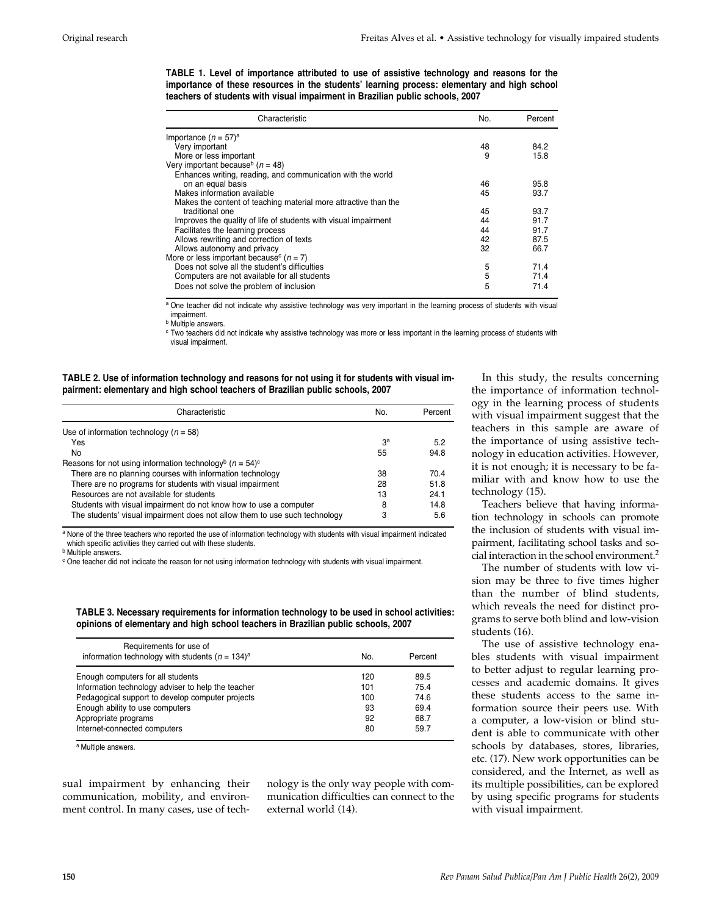**TABLE 1. Level of importance attributed to use of assistive technology and reasons for the importance of these resources in the students' learning process: elementary and high school teachers of students with visual impairment in Brazilian public schools, 2007**

| Characteristic                                                  | No. | Percent |  |
|-----------------------------------------------------------------|-----|---------|--|
| Importance $(n = 57)^a$                                         |     |         |  |
| Very important                                                  | 48  | 84.2    |  |
| More or less important                                          | 9   | 15.8    |  |
| Very important because <sup>b</sup> ( $n = 48$ )                |     |         |  |
| Enhances writing, reading, and communication with the world     |     |         |  |
| on an equal basis                                               | 46  | 95.8    |  |
| Makes information available                                     | 45  | 93.7    |  |
| Makes the content of teaching material more attractive than the |     |         |  |
| traditional one                                                 | 45  | 93.7    |  |
| Improves the quality of life of students with visual impairment | 44  | 91.7    |  |
| Facilitates the learning process                                | 44  | 91.7    |  |
| Allows rewriting and correction of texts                        | 42  | 87.5    |  |
| Allows autonomy and privacy                                     | 32  | 66.7    |  |
| More or less important because <sup>c</sup> ( $n = 7$ )         |     |         |  |
| Does not solve all the student's difficulties                   | 5   | 71.4    |  |
| Computers are not available for all students                    | 5   | 71.4    |  |
| Does not solve the problem of inclusion                         | 5   | 71.4    |  |

a One teacher did not indicate why assistive technology was very important in the learning process of students with visual impairment.

**b** Multiple answers.

c Two teachers did not indicate why assistive technology was more or less important in the learning process of students with visual impairment.

#### **TABLE 2. Use of information technology and reasons for not using it for students with visual impairment: elementary and high school teachers of Brazilian public schools, 2007**

| Characteristic                                                                      |                | Percent |
|-------------------------------------------------------------------------------------|----------------|---------|
| Use of information technology ( $n = 58$ )                                          |                |         |
| Yes                                                                                 | 3 <sup>a</sup> | 5.2     |
| No.                                                                                 | 55             | 94.8    |
| Reasons for not using information technology <sup>b</sup> ( $n = 54$ ) <sup>c</sup> |                |         |
| There are no planning courses with information technology                           | 38             | 70.4    |
| There are no programs for students with visual impairment                           | 28             | 51.8    |
| Resources are not available for students                                            | 13             | 24.1    |
| Students with visual impairment do not know how to use a computer                   | 8              | 14.8    |
| The students' visual impairment does not allow them to use such technology          | 3              | 5.6     |

a None of the three teachers who reported the use of information technology with students with visual impairment indicated which specific activities they carried out with these students.

**b** Multiple answers.

c One teacher did not indicate the reason for not using information technology with students with visual impairment.

**TABLE 3. Necessary requirements for information technology to be used in school activities: opinions of elementary and high school teachers in Brazilian public schools, 2007**

| Requirements for use of<br>information technology with students ( $n = 134$ ) <sup>a</sup> | No. | Percent |
|--------------------------------------------------------------------------------------------|-----|---------|
| Enough computers for all students                                                          | 120 | 89.5    |
| Information technology adviser to help the teacher                                         | 101 | 75.4    |
| Pedagogical support to develop computer projects                                           | 100 | 74.6    |
| Enough ability to use computers                                                            | 93  | 69.4    |
| Appropriate programs                                                                       | 92  | 68.7    |
| Internet-connected computers                                                               | 80  | 59.7    |

<sup>a</sup> Multiple answers.

sual impairment by enhancing their communication, mobility, and environment control. In many cases, use of technology is the only way people with communication difficulties can connect to the external world (14).

In this study, the results concerning the importance of information technology in the learning process of students with visual impairment suggest that the teachers in this sample are aware of the importance of using assistive technology in education activities. However, it is not enough; it is necessary to be familiar with and know how to use the technology (15).

Teachers believe that having information technology in schools can promote the inclusion of students with visual impairment, facilitating school tasks and social interaction in the school environment.2

The number of students with low vision may be three to five times higher than the number of blind students, which reveals the need for distinct programs to serve both blind and low-vision students (16).

The use of assistive technology enables students with visual impairment to better adjust to regular learning processes and academic domains. It gives these students access to the same information source their peers use. With a computer, a low-vision or blind student is able to communicate with other schools by databases, stores, libraries, etc. (17). New work opportunities can be considered, and the Internet, as well as its multiple possibilities, can be explored by using specific programs for students with visual impairment.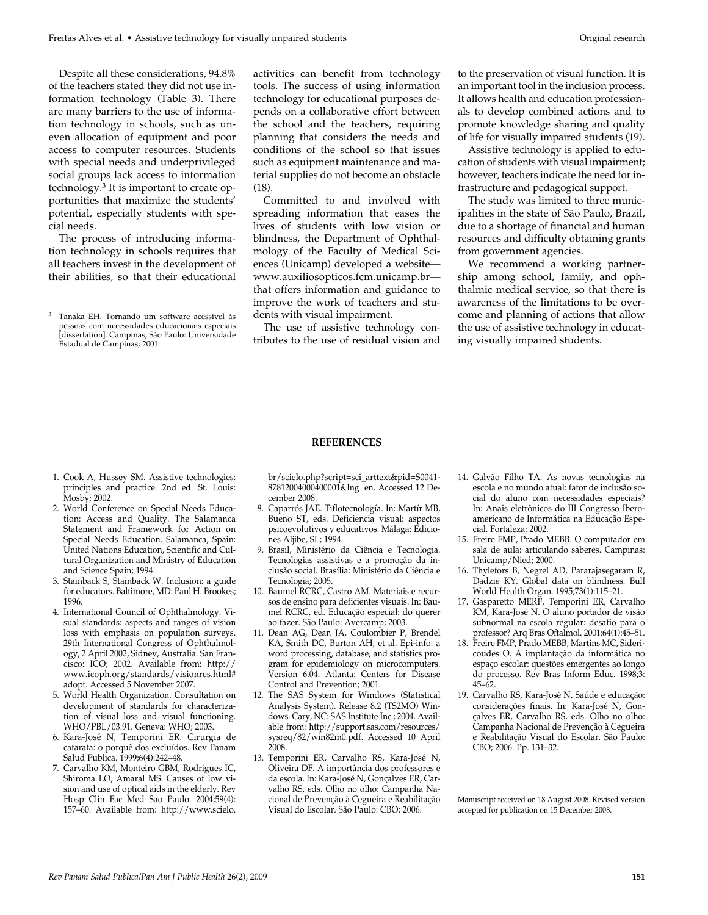Despite all these considerations, 94.8% of the teachers stated they did not use information technology (Table 3). There are many barriers to the use of information technology in schools, such as uneven allocation of equipment and poor access to computer resources. Students with special needs and underprivileged social groups lack access to information technology.<sup>3</sup> It is important to create opportunities that maximize the students' potential, especially students with special needs.

The process of introducing information technology in schools requires that all teachers invest in the development of their abilities, so that their educational

1. Cook A, Hussey SM. Assistive technologies: principles and practice. 2nd ed. St. Louis: Mosby; 2002.

- 2. World Conference on Special Needs Education: Access and Quality. The Salamanca Statement and Framework for Action on Special Needs Education. Salamanca, Spain: United Nations Education, Scientific and Cultural Organization and Ministry of Education and Science Spain; 1994.
- 3. Stainback S, Stainback W. Inclusion: a guide for educators. Baltimore, MD: Paul H. Brookes; 1996.
- 4. International Council of Ophthalmology. Visual standards: aspects and ranges of vision loss with emphasis on population surveys. 29th International Congress of Ophthalmology, 2 April 2002, Sidney, Australia. San Francisco: ICO; 2002. Available from: http:// www.icoph.org/standards/visionres.html# adopt. Accessed 5 November 2007.
- 5. World Health Organization. Consultation on development of standards for characterization of visual loss and visual functioning. WHO/PBL/03.91. Geneva: WHO; 2003.
- 6. Kara-José N, Temporini ER. Cirurgia de catarata: o porquê dos excluídos. Rev Panam Salud Publica. 1999;6(4):242–48.
- 7. Carvalho KM, Monteiro GBM, Rodrigues IC, Shiroma LO, Amaral MS. Causes of low vision and use of optical aids in the elderly. Rev Hosp Clin Fac Med Sao Paulo. 2004;59(4): 157–60. Available from: http://www.scielo.

activities can benefit from technology tools. The success of using information technology for educational purposes depends on a collaborative effort between the school and the teachers, requiring planning that considers the needs and conditions of the school so that issues such as equipment maintenance and material supplies do not become an obstacle (18).

Committed to and involved with spreading information that eases the lives of students with low vision or blindness, the Department of Ophthalmology of the Faculty of Medical Sciences (Unicamp) developed a website www.auxiliosopticos.fcm.unicamp.br that offers information and guidance to improve the work of teachers and students with visual impairment.

The use of assistive technology contributes to the use of residual vision and to the preservation of visual function. It is an important tool in the inclusion process. It allows health and education professionals to develop combined actions and to promote knowledge sharing and quality of life for visually impaired students (19).

Assistive technology is applied to education of students with visual impairment; however, teachers indicate the need for infrastructure and pedagogical support.

The study was limited to three municipalities in the state of São Paulo, Brazil, due to a shortage of financial and human resources and difficulty obtaining grants from government agencies.

We recommend a working partnership among school, family, and ophthalmic medical service, so that there is awareness of the limitations to be overcome and planning of actions that allow the use of assistive technology in educating visually impaired students.

#### **REFERENCES**

br/scielo.php?script=sci\_arttext&pid=S0041- 87812004000400001&lng=en. Accessed 12 December 2008.

- 8. Caparrós JAE. Tiflotecnología. In: Martír MB, Bueno ST, eds. Deficiencia visual: aspectos psicoevolutivos y educativos. Málaga: Ediciones Aljibe, SL; 1994.
- 9. Brasil, Ministério da Ciência e Tecnologia. Tecnologias assistivas e a promoção da inclusão social. Brasília: Ministério da Ciência e Tecnologia; 2005.
- 10. Baumel RCRC, Castro AM. Materiais e recursos de ensino para deficientes visuais. In: Baumel RCRC, ed. Educação especial: do querer ao fazer. São Paulo: Avercamp; 2003.
- 11. Dean AG, Dean JA, Coulombier P, Brendel KA, Smith DC, Burton AH, et al. Epi-info: a word processing, database, and statistics program for epidemiology on microcomputers. Version 6.04. Atlanta: Centers for Disease Control and Prevention; 2001.
- 12. The SAS System for Windows (Statistical Analysis System). Release 8.2 (TS2MO) Windows. Cary, NC: SAS Institute Inc.; 2004. Available from: http://support.sas.com/resources/ sysreq/82/win82m0.pdf. Accessed 10 April 2008.
- 13. Temporini ER, Carvalho RS, Kara-José N, Oliveira DF. A importância dos professores e da escola. In: Kara-José N, Gonçalves ER, Carvalho RS, eds. Olho no olho: Campanha Nacional de Prevenção à Cegueira e Reabilitação Visual do Escolar. São Paulo: CBO; 2006.
- 14. Galvão Filho TA. As novas tecnologias na escola e no mundo atual: fator de inclusão social do aluno com necessidades especiais? In: Anais eletrônicos do III Congresso Iberoamericano de Informática na Educação Especial. Fortaleza; 2002.
- 15. Freire FMP, Prado MEBB. O computador em sala de aula: articulando saberes. Campinas: Unicamp/Nied; 2000.
- 16. Thylefors B, Negrel AD, Pararajasegaram R, Dadzie KY. Global data on blindness. Bull World Health Organ. 1995;73(1):115–21.
- 17. Gasparetto MERF, Temporini ER, Carvalho KM, Kara-José N. O aluno portador de visão subnormal na escola regular: desafio para o professor? Arq Bras Oftalmol. 2001;64(1):45–51.
- 18. Freire FMP, Prado MEBB, Martins MC, Sidericoudes O. A implantação da informática no espaço escolar: questões emergentes ao longo do processo. Rev Bras Inform Educ. 1998;3: 45–62.
- 19. Carvalho RS, Kara-José N. Saúde e educação: considerações finais. In: Kara-José N, Gonçalves ER, Carvalho RS, eds. Olho no olho: Campanha Nacional de Prevenção à Cegueira e Reabilitação Visual do Escolar. São Paulo: CBO; 2006. Pp. 131–32.

Manuscript received on 18 August 2008. Revised version accepted for publication on 15 December 2008.

<sup>3</sup> Tanaka EH. Tornando um software acessível às pessoas com necessidades educacionais especiais [dissertation]. Campinas, São Paulo: Universidade Estadual de Campinas; 2001.